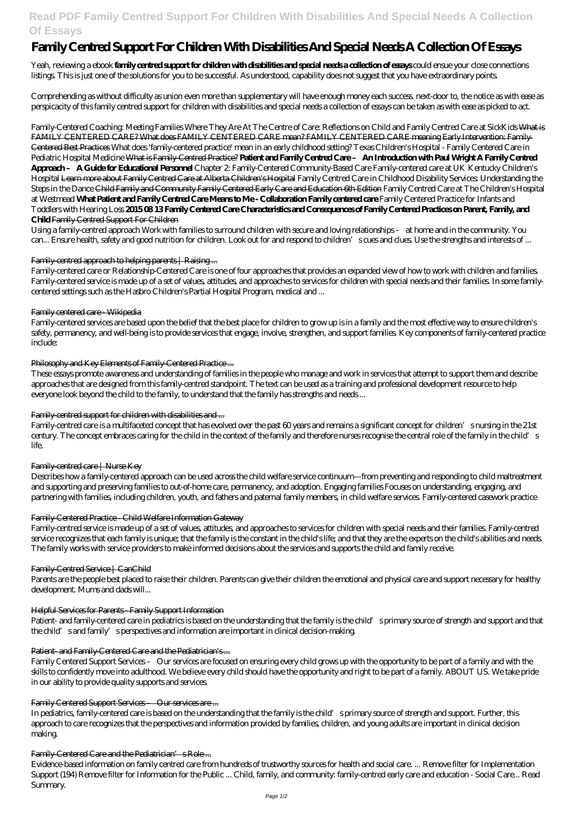# **Read PDF Family Centred Support For Children With Disabilities And Special Needs A Collection Of Essays**

# **Family Centred Support For Children With Disabilities And Special Needs A Collection Of Essays**

Yeah, reviewing a ebook **family centred support for children with disabilities and special needs a collection of essays** could ensue your close connections listings. This is just one of the solutions for you to be successful. As understood, capability does not suggest that you have extraordinary points.

Comprehending as without difficulty as union even more than supplementary will have enough money each success. next-door to, the notice as with ease as perspicacity of this family centred support for children with disabilities and special needs a collection of essays can be taken as with ease as picked to act.

*Family-Centered Coaching: Meeting Families Where They Are At The Centre of Care: Reflections on Child and Family Centred Care at SickKids* What is FAMILY CENTERED CARE? What does FAMILY CENTERED CARE mean? FAMILY CENTERED CARE meaning Early Intervention: Family-Centered Best Practices *What does 'family-centered practice' mean in an early childhood setting? Texas Children's Hospital - Family Centered Care in Pediatric Hospital Medicine* What is Family-Centred Practice? **Patient and Family Centred Care – An Introduction with Paul Wright A Family Centred Approach – A Guide for Educational Personnel** Chapter 2: Family-Centered Community-Based Care Family-centered care at UK Kentucky Children's Hospital Learn more about Family Centred Care at Alberta Children's Hospital *Family Centred Care in Childhood Disability Services: Understanding the Steps in the Dance* Child Family and Community Family Centered Early Care and Education 6th Edition *Family Centred Care at The Children's Hospital at Westmead* **What Patient and Family Centred Care Means to Me - Collaboration Family centered care** *Family Centered Practice for Infants and Toddlers with Hearing Loss* **2015 08 13 Family Centered Care Characteristics and Consequences of Family Centered Practices on Parent, Family, and Child** Family Centred Support For Children

Using a family-centred approach Work with families to surround children with secure and loving relationships – at home and in the community. You can... Ensure health, safety and good nutrition for children. Look out for and respond to children's cues and clues. Use the strengths and interests of ...

### Family-centred approach to helping parents | Raising ...

Family-centered care or Relationship-Centered Care is one of four approaches that provides an expanded view of how to work with children and families. Family-centered service is made up of a set of values, attitudes, and approaches to services for children with special needs and their families. In some familycentered settings such as the Hasbro Children's Partial Hospital Program, medical and ...

Patient- and family-centered care in pediatrics is based on the understanding that the family is the child's primary source of strength and support and that the child's and family's perspectives and information are important in clinical decision-making.

#### Patient- and Family-Centered Care and the Pediatrician's...

### Family centered care - Wikipedia

Family-centered services are based upon the belief that the best place for children to grow up is in a family and the most effective way to ensure children's safety, permanency, and well-being is to provide services that engage, involve, strengthen, and support families. Key components of family-centered practice include:

### Philosophy and Key Elements of Family-Centered Practice...

These essays promote awareness and understanding of families in the people who manage and work in services that attempt to support them and describe approaches that are designed from this family-centred standpoint. The text can be used as a training and professional development resource to help everyone look beyond the child to the family, to understand that the family has strengths and needs ...

### Family-centred support for children with disabilities and ...

Family-centred care is a multifaceted concept that has evolved over the past 60 years and remains a significant concept for children's nursing in the 21st century. The concept embraces caring for the child in the context of the family and therefore nurses recognise the central role of the family in the child's life.

### Family-centred care | Nurse Key

Describes how a family-centered approach can be used across the child welfare service continuum—from preventing and responding to child maltreatment and supporting and preserving families to out-of-home care, permanency, and adoption. Engaging families Focuses on understanding, engaging, and partnering with families, including children, youth, and fathers and paternal family members, in child welfare services. Family-centered casework practice

### Family-Centered Practice - Child Welfare Information Gateway

Family-centred service is made up of a set of values, attitudes, and approaches to services for children with special needs and their families. Family-centred service recognizes that each family is unique; that the family is the constant in the child's life; and that they are the experts on the child's abilities and needs. The family works with service providers to make informed decisions about the services and supports the child and family receive.

### Family-Centred Service | CanChild

Parents are the people best placed to raise their children. Parents can give their children the emotional and physical care and support necessary for healthy development. Mums and dads will...

### Helpful Services for Parents - Family Support Information

Family Centered Support Services – Our services are focused on ensuring every child grows up with the opportunity to be part of a family and with the skills to confidently move into adulthood. We believe every child should have the opportunity and right to be part of a family. ABOUT US. We take pride in our ability to provide quality supports and services.

#### Family Centered Support Services – Our services are ...

In pediatrics, family-centered care is based on the understanding that the family is the child's primary source of strength and support. Further, this approach to care recognizes that the perspectives and information provided by families, children, and young adults are important in clinical decision making.

#### Family-Centered Care and the Pediatrician's Role ...

Evidence-based information on family centred care from hundreds of trustworthy sources for health and social care. ... Remove filter for Implementation Support (194) Remove filter for Information for the Public ... Child, family, and community: family-centred early care and education - Social Care... Read Summary.